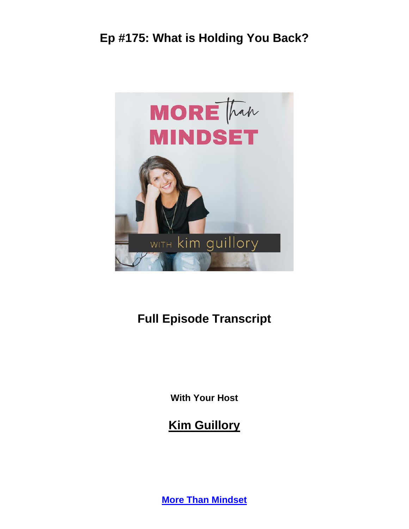

# **Full Episode Transcript**

**With Your Host**

**Kim Guillory**

**[More Than Mindset](https://kimguillory.com/podcast)**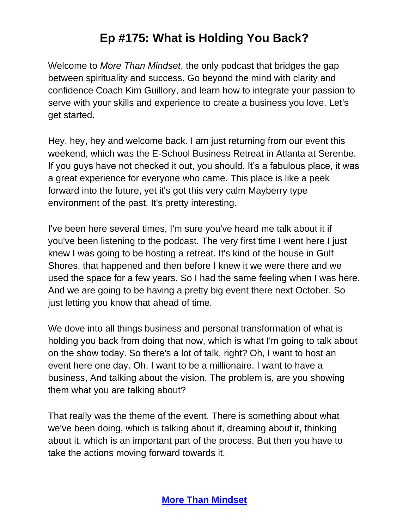Welcome to *More Than Mindset*, the only podcast that bridges the gap between spirituality and success. Go beyond the mind with clarity and confidence Coach Kim Guillory, and learn how to integrate your passion to serve with your skills and experience to create a business you love. Let's get started.

Hey, hey, hey and welcome back. I am just returning from our event this weekend, which was the E-School Business Retreat in Atlanta at Serenbe. If you guys have not checked it out, you should. It's a fabulous place, it was a great experience for everyone who came. This place is like a peek forward into the future, yet it's got this very calm Mayberry type environment of the past. It's pretty interesting.

I've been here several times, I'm sure you've heard me talk about it if you've been listening to the podcast. The very first time I went here I just knew I was going to be hosting a retreat. It's kind of the house in Gulf Shores, that happened and then before I knew it we were there and we used the space for a few years. So I had the same feeling when I was here. And we are going to be having a pretty big event there next October. So just letting you know that ahead of time.

We dove into all things business and personal transformation of what is holding you back from doing that now, which is what I'm going to talk about on the show today. So there's a lot of talk, right? Oh, I want to host an event here one day. Oh, I want to be a millionaire. I want to have a business, And talking about the vision. The problem is, are you showing them what you are talking about?

That really was the theme of the event. There is something about what we've been doing, which is talking about it, dreaming about it, thinking about it, which is an important part of the process. But then you have to take the actions moving forward towards it.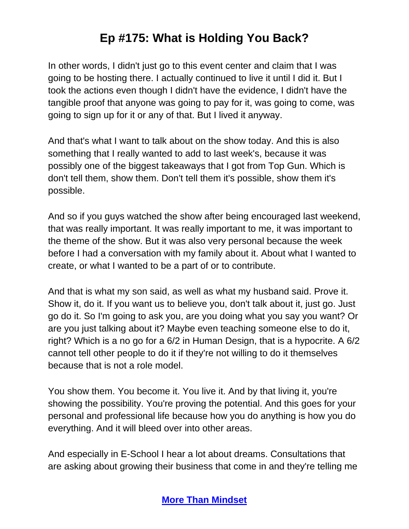In other words, I didn't just go to this event center and claim that I was going to be hosting there. I actually continued to live it until I did it. But I took the actions even though I didn't have the evidence, I didn't have the tangible proof that anyone was going to pay for it, was going to come, was going to sign up for it or any of that. But I lived it anyway.

And that's what I want to talk about on the show today. And this is also something that I really wanted to add to last week's, because it was possibly one of the biggest takeaways that I got from Top Gun. Which is don't tell them, show them. Don't tell them it's possible, show them it's possible.

And so if you guys watched the show after being encouraged last weekend, that was really important. It was really important to me, it was important to the theme of the show. But it was also very personal because the week before I had a conversation with my family about it. About what I wanted to create, or what I wanted to be a part of or to contribute.

And that is what my son said, as well as what my husband said. Prove it. Show it, do it. If you want us to believe you, don't talk about it, just go. Just go do it. So I'm going to ask you, are you doing what you say you want? Or are you just talking about it? Maybe even teaching someone else to do it, right? Which is a no go for a 6/2 in Human Design, that is a hypocrite. A 6/2 cannot tell other people to do it if they're not willing to do it themselves because that is not a role model.

You show them. You become it. You live it. And by that living it, you're showing the possibility. You're proving the potential. And this goes for your personal and professional life because how you do anything is how you do everything. And it will bleed over into other areas.

And especially in E-School I hear a lot about dreams. Consultations that are asking about growing their business that come in and they're telling me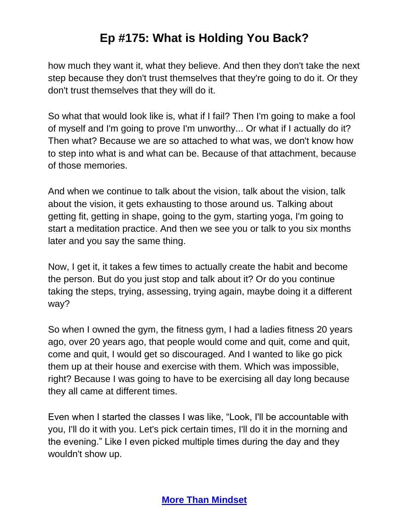how much they want it, what they believe. And then they don't take the next step because they don't trust themselves that they're going to do it. Or they don't trust themselves that they will do it.

So what that would look like is, what if I fail? Then I'm going to make a fool of myself and I'm going to prove I'm unworthy... Or what if I actually do it? Then what? Because we are so attached to what was, we don't know how to step into what is and what can be. Because of that attachment, because of those memories.

And when we continue to talk about the vision, talk about the vision, talk about the vision, it gets exhausting to those around us. Talking about getting fit, getting in shape, going to the gym, starting yoga, I'm going to start a meditation practice. And then we see you or talk to you six months later and you say the same thing.

Now, I get it, it takes a few times to actually create the habit and become the person. But do you just stop and talk about it? Or do you continue taking the steps, trying, assessing, trying again, maybe doing it a different way?

So when I owned the gym, the fitness gym, I had a ladies fitness 20 years ago, over 20 years ago, that people would come and quit, come and quit, come and quit, I would get so discouraged. And I wanted to like go pick them up at their house and exercise with them. Which was impossible, right? Because I was going to have to be exercising all day long because they all came at different times.

Even when I started the classes I was like, "Look, I'll be accountable with you, I'll do it with you. Let's pick certain times, I'll do it in the morning and the evening." Like I even picked multiple times during the day and they wouldn't show up.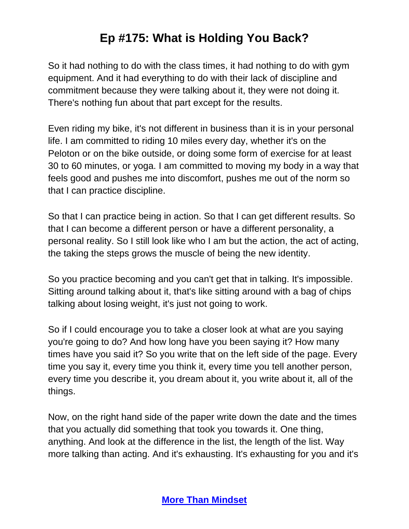So it had nothing to do with the class times, it had nothing to do with gym equipment. And it had everything to do with their lack of discipline and commitment because they were talking about it, they were not doing it. There's nothing fun about that part except for the results.

Even riding my bike, it's not different in business than it is in your personal life. I am committed to riding 10 miles every day, whether it's on the Peloton or on the bike outside, or doing some form of exercise for at least 30 to 60 minutes, or yoga. I am committed to moving my body in a way that feels good and pushes me into discomfort, pushes me out of the norm so that I can practice discipline.

So that I can practice being in action. So that I can get different results. So that I can become a different person or have a different personality, a personal reality. So I still look like who I am but the action, the act of acting, the taking the steps grows the muscle of being the new identity.

So you practice becoming and you can't get that in talking. It's impossible. Sitting around talking about it, that's like sitting around with a bag of chips talking about losing weight, it's just not going to work.

So if I could encourage you to take a closer look at what are you saying you're going to do? And how long have you been saying it? How many times have you said it? So you write that on the left side of the page. Every time you say it, every time you think it, every time you tell another person, every time you describe it, you dream about it, you write about it, all of the things.

Now, on the right hand side of the paper write down the date and the times that you actually did something that took you towards it. One thing, anything. And look at the difference in the list, the length of the list. Way more talking than acting. And it's exhausting. It's exhausting for you and it's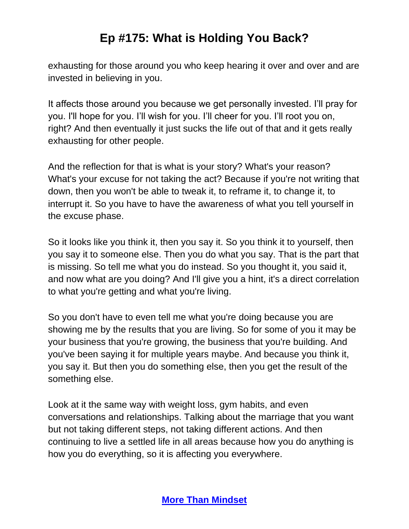exhausting for those around you who keep hearing it over and over and are invested in believing in you.

It affects those around you because we get personally invested. I'll pray for you. I'll hope for you. I'll wish for you. I'll cheer for you. I'll root you on, right? And then eventually it just sucks the life out of that and it gets really exhausting for other people.

And the reflection for that is what is your story? What's your reason? What's your excuse for not taking the act? Because if you're not writing that down, then you won't be able to tweak it, to reframe it, to change it, to interrupt it. So you have to have the awareness of what you tell yourself in the excuse phase.

So it looks like you think it, then you say it. So you think it to yourself, then you say it to someone else. Then you do what you say. That is the part that is missing. So tell me what you do instead. So you thought it, you said it, and now what are you doing? And I'll give you a hint, it's a direct correlation to what you're getting and what you're living.

So you don't have to even tell me what you're doing because you are showing me by the results that you are living. So for some of you it may be your business that you're growing, the business that you're building. And you've been saying it for multiple years maybe. And because you think it, you say it. But then you do something else, then you get the result of the something else.

Look at it the same way with weight loss, gym habits, and even conversations and relationships. Talking about the marriage that you want but not taking different steps, not taking different actions. And then continuing to live a settled life in all areas because how you do anything is how you do everything, so it is affecting you everywhere.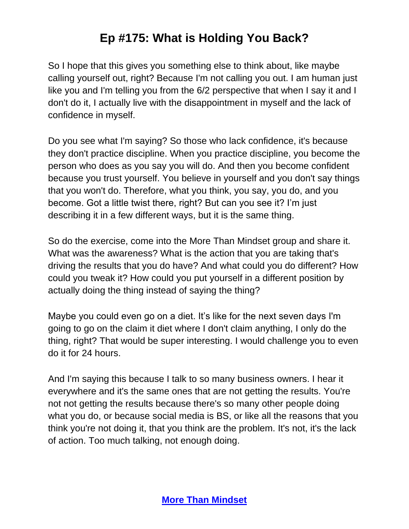So I hope that this gives you something else to think about, like maybe calling yourself out, right? Because I'm not calling you out. I am human just like you and I'm telling you from the 6/2 perspective that when I say it and I don't do it, I actually live with the disappointment in myself and the lack of confidence in myself.

Do you see what I'm saying? So those who lack confidence, it's because they don't practice discipline. When you practice discipline, you become the person who does as you say you will do. And then you become confident because you trust yourself. You believe in yourself and you don't say things that you won't do. Therefore, what you think, you say, you do, and you become. Got a little twist there, right? But can you see it? I'm just describing it in a few different ways, but it is the same thing.

So do the exercise, come into the More Than Mindset group and share it. What was the awareness? What is the action that you are taking that's driving the results that you do have? And what could you do different? How could you tweak it? How could you put yourself in a different position by actually doing the thing instead of saying the thing?

Maybe you could even go on a diet. It's like for the next seven days I'm going to go on the claim it diet where I don't claim anything, I only do the thing, right? That would be super interesting. I would challenge you to even do it for 24 hours.

And I'm saying this because I talk to so many business owners. I hear it everywhere and it's the same ones that are not getting the results. You're not not getting the results because there's so many other people doing what you do, or because social media is BS, or like all the reasons that you think you're not doing it, that you think are the problem. It's not, it's the lack of action. Too much talking, not enough doing.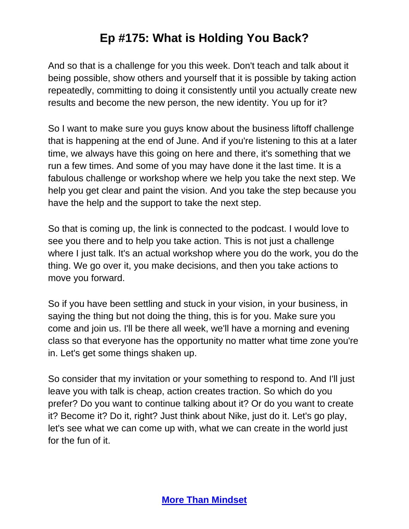And so that is a challenge for you this week. Don't teach and talk about it being possible, show others and yourself that it is possible by taking action repeatedly, committing to doing it consistently until you actually create new results and become the new person, the new identity. You up for it?

So I want to make sure you guys know about the business liftoff challenge that is happening at the end of June. And if you're listening to this at a later time, we always have this going on here and there, it's something that we run a few times. And some of you may have done it the last time. It is a fabulous challenge or workshop where we help you take the next step. We help you get clear and paint the vision. And you take the step because you have the help and the support to take the next step.

So that is coming up, the link is connected to the podcast. I would love to see you there and to help you take action. This is not just a challenge where I just talk. It's an actual workshop where you do the work, you do the thing. We go over it, you make decisions, and then you take actions to move you forward.

So if you have been settling and stuck in your vision, in your business, in saying the thing but not doing the thing, this is for you. Make sure you come and join us. I'll be there all week, we'll have a morning and evening class so that everyone has the opportunity no matter what time zone you're in. Let's get some things shaken up.

So consider that my invitation or your something to respond to. And I'll just leave you with talk is cheap, action creates traction. So which do you prefer? Do you want to continue talking about it? Or do you want to create it? Become it? Do it, right? Just think about Nike, just do it. Let's go play, let's see what we can come up with, what we can create in the world just for the fun of it.